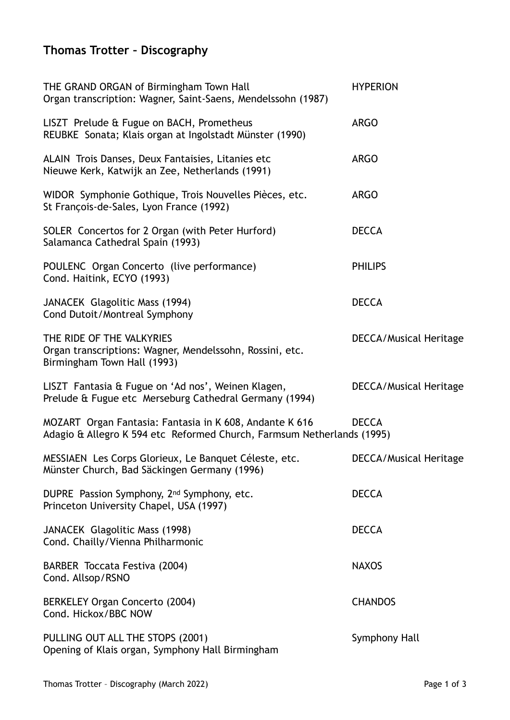## **Thomas Trotter – Discography**

| THE GRAND ORGAN of Birmingham Town Hall<br>Organ transcription: Wagner, Saint-Saens, Mendelssohn (1987)                           | <b>HYPERION</b>               |
|-----------------------------------------------------------------------------------------------------------------------------------|-------------------------------|
| LISZT Prelude & Fugue on BACH, Prometheus<br>REUBKE Sonata; Klais organ at Ingolstadt Münster (1990)                              | <b>ARGO</b>                   |
| ALAIN Trois Danses, Deux Fantaisies, Litanies etc<br>Nieuwe Kerk, Katwijk an Zee, Netherlands (1991)                              | <b>ARGO</b>                   |
| WIDOR Symphonie Gothique, Trois Nouvelles Pièces, etc.<br>St François-de-Sales, Lyon France (1992)                                | <b>ARGO</b>                   |
| SOLER Concertos for 2 Organ (with Peter Hurford)<br>Salamanca Cathedral Spain (1993)                                              | <b>DECCA</b>                  |
| POULENC Organ Concerto (live performance)<br>Cond. Haitink, ECYO (1993)                                                           | <b>PHILIPS</b>                |
| JANACEK Glagolitic Mass (1994)<br>Cond Dutoit/Montreal Symphony                                                                   | <b>DECCA</b>                  |
| THE RIDE OF THE VALKYRIES<br>Organ transcriptions: Wagner, Mendelssohn, Rossini, etc.<br>Birmingham Town Hall (1993)              | <b>DECCA/Musical Heritage</b> |
| LISZT Fantasia & Fugue on 'Ad nos', Weinen Klagen,<br>Prelude & Fugue etc Merseburg Cathedral Germany (1994)                      | <b>DECCA/Musical Heritage</b> |
| MOZART Organ Fantasia: Fantasia in K 608, Andante K 616<br>Adagio & Allegro K 594 etc Reformed Church, Farmsum Netherlands (1995) | <b>DECCA</b>                  |
| MESSIAEN Les Corps Glorieux, Le Banquet Céleste, etc.<br>Münster Church, Bad Säckingen Germany (1996)                             | <b>DECCA/Musical Heritage</b> |
| DUPRE Passion Symphony, 2 <sup>nd</sup> Symphony, etc.<br>Princeton University Chapel, USA (1997)                                 | <b>DECCA</b>                  |
| JANACEK Glagolitic Mass (1998)<br>Cond. Chailly/Vienna Philharmonic                                                               | <b>DECCA</b>                  |
| BARBER Toccata Festiva (2004)<br>Cond. Allsop/RSNO                                                                                | <b>NAXOS</b>                  |
| BERKELEY Organ Concerto (2004)<br>Cond. Hickox/BBC NOW                                                                            | <b>CHANDOS</b>                |
| PULLING OUT ALL THE STOPS (2001)<br>Opening of Klais organ, Symphony Hall Birmingham                                              | Symphony Hall                 |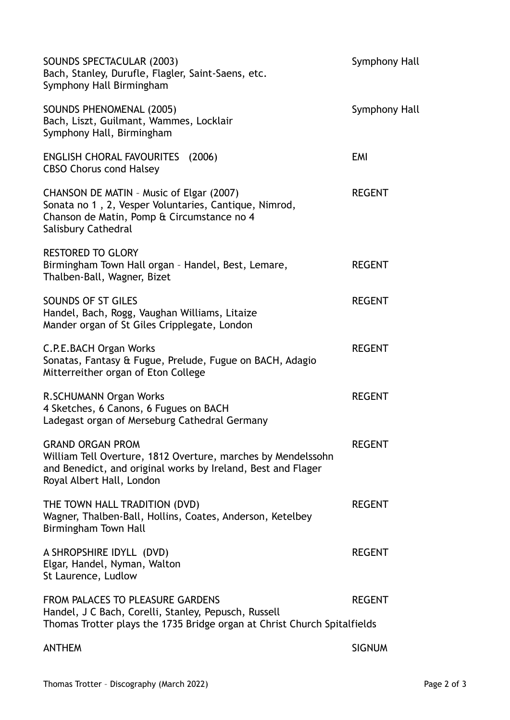| SOUNDS SPECTACULAR (2003)<br>Bach, Stanley, Durufle, Flagler, Saint-Saens, etc.<br>Symphony Hall Birmingham                                                                          | Symphony Hall |
|--------------------------------------------------------------------------------------------------------------------------------------------------------------------------------------|---------------|
| <b>SOUNDS PHENOMENAL (2005)</b><br>Bach, Liszt, Guilmant, Wammes, Locklair<br>Symphony Hall, Birmingham                                                                              | Symphony Hall |
| <b>ENGLISH CHORAL FAVOURITES</b> (2006)<br><b>CBSO Chorus cond Halsey</b>                                                                                                            | <b>EMI</b>    |
| CHANSON DE MATIN - Music of Elgar (2007)<br>Sonata no 1, 2, Vesper Voluntaries, Cantique, Nimrod,<br>Chanson de Matin, Pomp & Circumstance no 4<br>Salisbury Cathedral               | <b>REGENT</b> |
| <b>RESTORED TO GLORY</b><br>Birmingham Town Hall organ - Handel, Best, Lemare,<br>Thalben-Ball, Wagner, Bizet                                                                        | <b>REGENT</b> |
| SOUNDS OF ST GILES<br>Handel, Bach, Rogg, Vaughan Williams, Litaize<br>Mander organ of St Giles Cripplegate, London                                                                  | <b>REGENT</b> |
| C.P.E.BACH Organ Works<br>Sonatas, Fantasy & Fugue, Prelude, Fugue on BACH, Adagio<br>Mitterreither organ of Eton College                                                            | <b>REGENT</b> |
| R.SCHUMANN Organ Works<br>4 Sketches, 6 Canons, 6 Fugues on BACH<br>Ladegast organ of Merseburg Cathedral Germany                                                                    | <b>REGENT</b> |
| <b>GRAND ORGAN PROM</b><br>William Tell Overture, 1812 Overture, marches by Mendelssohn<br>and Benedict, and original works by Ireland, Best and Flager<br>Royal Albert Hall, London | <b>REGENT</b> |
| THE TOWN HALL TRADITION (DVD)<br>Wagner, Thalben-Ball, Hollins, Coates, Anderson, Ketelbey<br>Birmingham Town Hall                                                                   | <b>REGENT</b> |
| A SHROPSHIRE IDYLL (DVD)<br>Elgar, Handel, Nyman, Walton<br>St Laurence, Ludlow                                                                                                      | <b>REGENT</b> |
| <b>FROM PALACES TO PLEASURE GARDENS</b><br>Handel, J C Bach, Corelli, Stanley, Pepusch, Russell<br>Thomas Trotter plays the 1735 Bridge organ at Christ Church Spitalfields          | <b>REGENT</b> |
| <b>ANTHEM</b>                                                                                                                                                                        | <b>SIGNUM</b> |